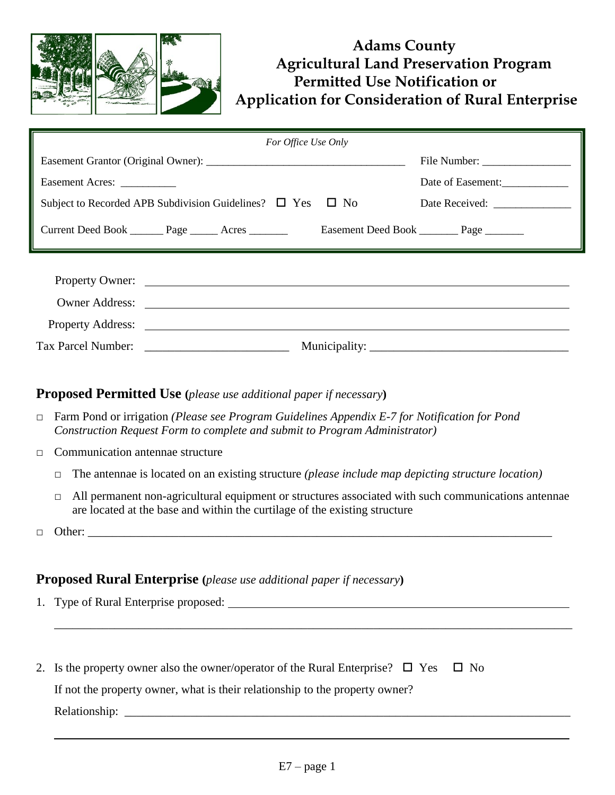

# **Adams County Agricultural Land Preservation Program Permitted Use Notification or Application for Consideration of Rural Enterprise**

| For Office Use Only                                                  |                                             |  |  |  |  |  |
|----------------------------------------------------------------------|---------------------------------------------|--|--|--|--|--|
|                                                                      |                                             |  |  |  |  |  |
| Easement Acres: ___________                                          | Date of Easement:                           |  |  |  |  |  |
| Subject to Recorded APB Subdivision Guidelines? $\Box$ Yes $\Box$ No |                                             |  |  |  |  |  |
| Current Deed Book ________ Page ______ Acres ______                  | Easement Deed Book __________ Page ________ |  |  |  |  |  |
|                                                                      |                                             |  |  |  |  |  |
|                                                                      |                                             |  |  |  |  |  |
| Owner Address:                                                       |                                             |  |  |  |  |  |
|                                                                      |                                             |  |  |  |  |  |
| Tax Parcel Number:                                                   |                                             |  |  |  |  |  |

## **Proposed Permitted Use (***please use additional paper if necessary***)**

- □ Farm Pond or irrigation *(Please see Program Guidelines Appendix E-7 for Notification for Pond Construction Request Form to complete and submit to Program Administrator)*
- □ Communication antennae structure
	- □ The antennae is located on an existing structure *(please include map depicting structure location)*
	- □ All permanent non-agricultural equipment or structures associated with such communications antennae are located at the base and within the curtilage of the existing structure
- $\Box$  Other:

#### **Proposed Rural Enterprise (***please use additional paper if necessary***)**

| 1. Type of Rural Enterprise proposed:                                                                                                                                                                                          |
|--------------------------------------------------------------------------------------------------------------------------------------------------------------------------------------------------------------------------------|
|                                                                                                                                                                                                                                |
|                                                                                                                                                                                                                                |
|                                                                                                                                                                                                                                |
| 2. Is the property owner also the owner/operator of the Rural Enterprise? $\Box$ Yes $\Box$ No                                                                                                                                 |
| If not the property owner, what is their relationship to the property owner?                                                                                                                                                   |
| Relationship: Network of the state of the state of the state of the state of the state of the state of the state of the state of the state of the state of the state of the state of the state of the state of the state of th |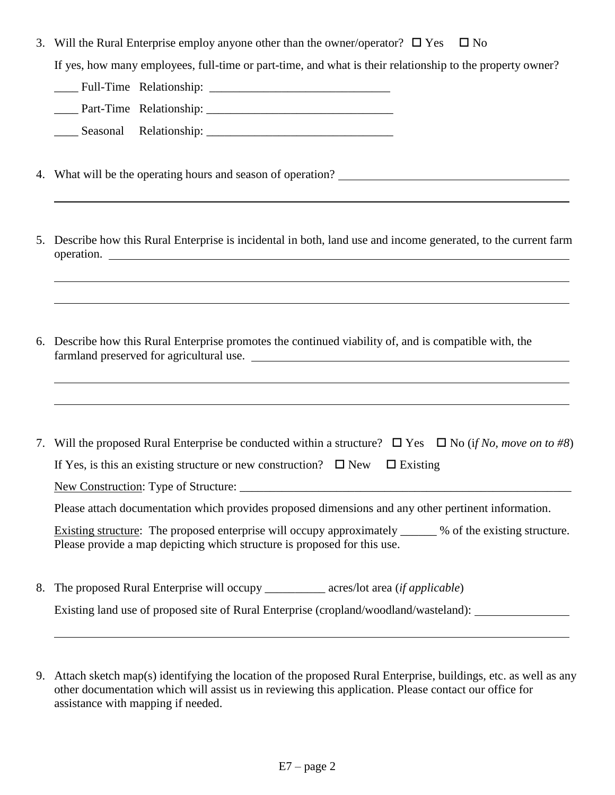3. Will the Rural Enterprise employ anyone other than the owner/operator?  $\square$  Yes  $\square$  No

If yes, how many employees, full-time or part-time, and what is their relationship to the property owner?

\_\_\_\_ Full-Time Relationship: \_\_\_\_\_\_\_\_\_\_\_\_\_\_\_\_\_\_\_\_\_\_\_\_\_\_\_\_\_\_ \_\_\_\_ Part-Time Relationship: \_\_\_\_\_\_\_\_\_\_\_\_\_\_\_\_\_\_\_\_\_\_\_\_\_\_\_\_\_\_\_

\_\_\_\_ Seasonal Relationship: \_\_\_\_\_\_\_\_\_\_\_\_\_\_\_\_\_\_\_\_\_\_\_\_\_\_\_\_\_\_\_

- 4. What will be the operating hours and season of operation?
- 5. Describe how this Rural Enterprise is incidental in both, land use and income generated, to the current farm operation.
- 6. Describe how this Rural Enterprise promotes the continued viability of, and is compatible with, the farmland preserved for agricultural use.

| 7. Will the proposed Rural Enterprise be conducted within a structure? $\Box$ Yes $\Box$ No (if No, move on to #8)                                                                    |  |  |  |  |  |
|---------------------------------------------------------------------------------------------------------------------------------------------------------------------------------------|--|--|--|--|--|
| If Yes, is this an existing structure or new construction? $\Box$ New $\Box$ Existing                                                                                                 |  |  |  |  |  |
| New Construction: Type of Structure:                                                                                                                                                  |  |  |  |  |  |
| Please attach documentation which provides proposed dimensions and any other pertinent information.                                                                                   |  |  |  |  |  |
| Existing structure: The proposed enterprise will occupy approximately ______ % of the existing structure.<br>Please provide a map depicting which structure is proposed for this use. |  |  |  |  |  |

- 8. The proposed Rural Enterprise will occupy \_\_\_\_\_\_\_\_\_\_ acres/lot area (*if applicable*) Existing land use of proposed site of Rural Enterprise (cropland/woodland/wasteland):
- 9. Attach sketch map(s) identifying the location of the proposed Rural Enterprise, buildings, etc. as well as any other documentation which will assist us in reviewing this application. Please contact our office for assistance with mapping if needed.